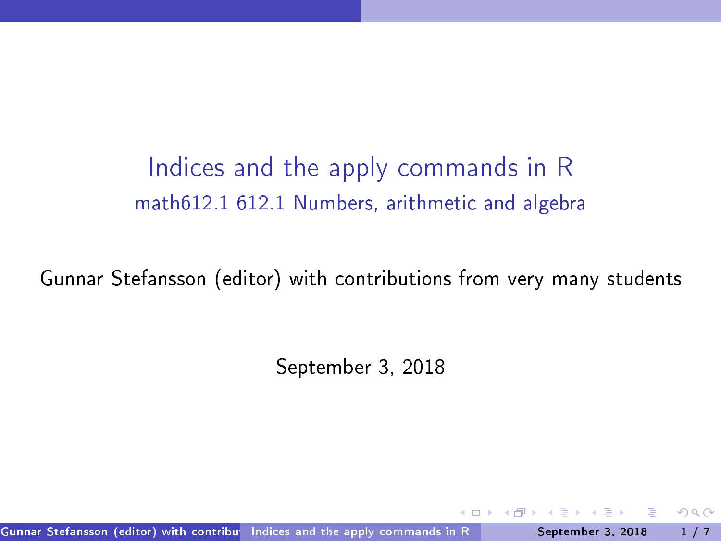Indices and the apply commands in R math612.1 612.1 Numbers, arithmeti and algebra

Gunnar Stefansson (editor) with contributions from very many students

September 3, 2018

Gunnar Stefansson (editor) with contribue Indices and the apply commands in R September 3, 2018 1/7

<span id="page-0-0"></span> $QQQ$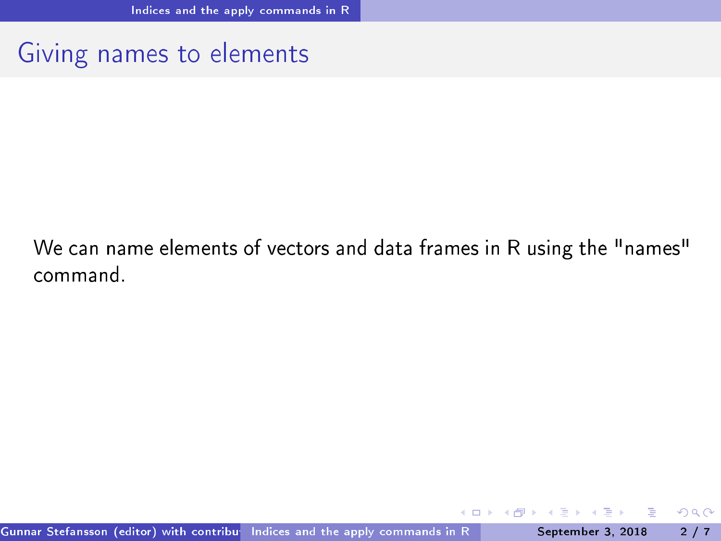### Giving names to elements

#### We can name elements of vectors and data frames in R using the "names" command.

<span id="page-1-0"></span> $QQQ$ 

4 0 8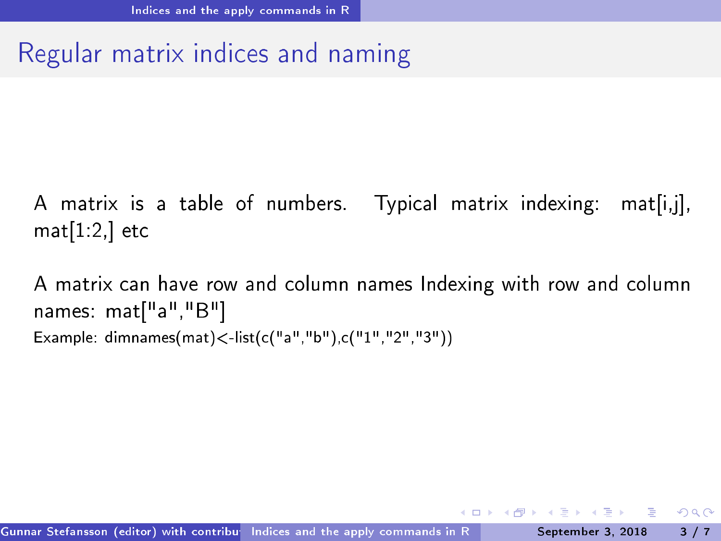# Regular matrix indi
es and naming

A matrix is a table of numbers. Typical matrix indexing: mat[i,j],  $mat[1:2]$  etc

<span id="page-2-0"></span>A matrix can have row and column names Indexing with row and column names: mat["a","B"] Example:  $dimnames(max)$  < -list(c("a","b"),c("1","2","3"))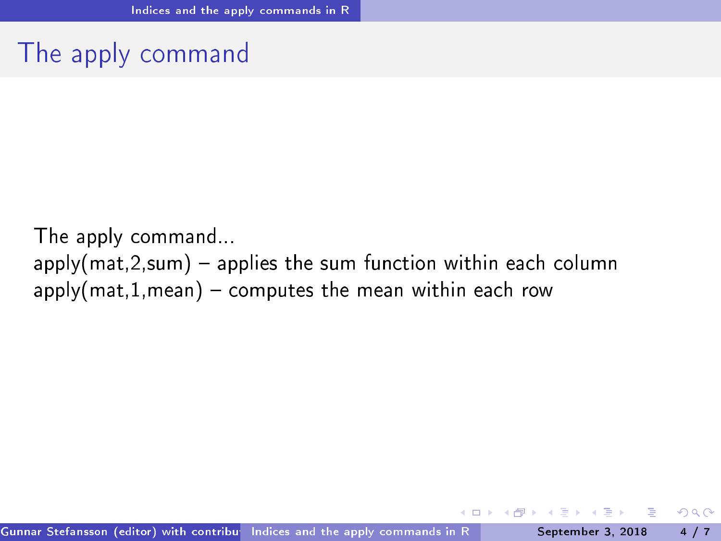## The apply ommand

<span id="page-3-0"></span>The apply ommand...  $apply(mat, 2, sum)$  – applies the sum function within each column  $apply(mat,1,mean)$  - computes the mean within each row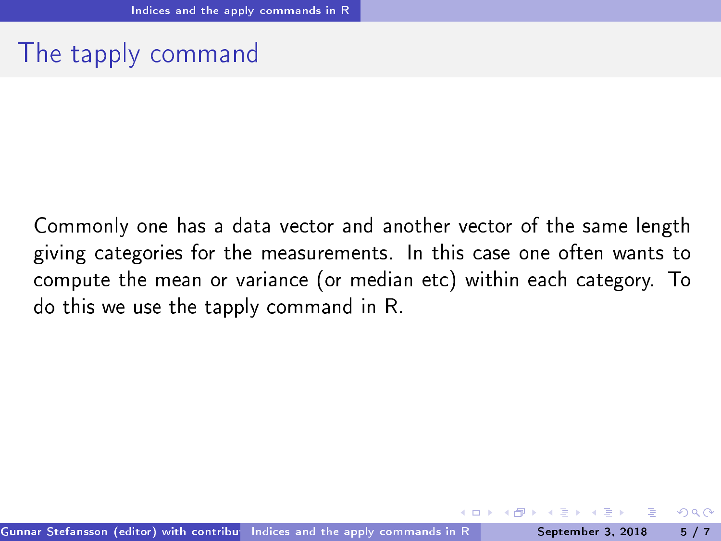# The tapply ommand

<span id="page-4-0"></span>Commonly one has a data vector and another vector of the same length giving ategories for the measurements. In this ase one often wants to compute the mean or variance (or median etc) within each category. To do this we use the tapply ommand in R.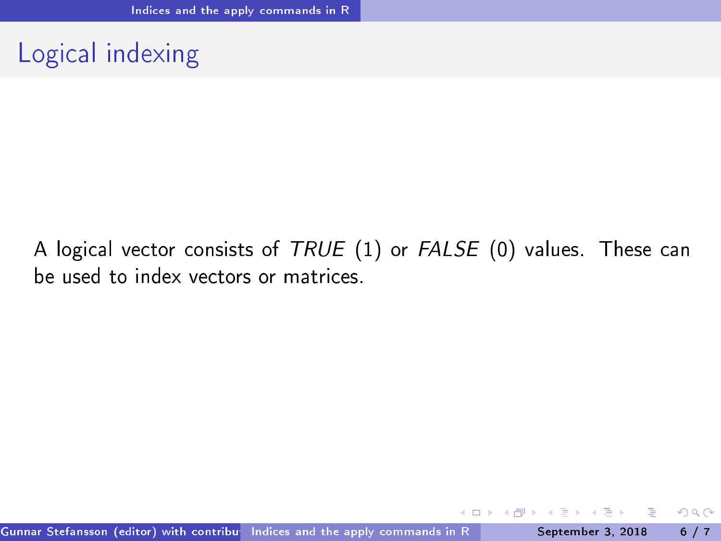# Logical indexing

#### A logical vector consists of TRUE (1) or FALSE (0) values. These can be used to index vectors or matrices.

<span id="page-5-0"></span> $\leftarrow$   $\Box$